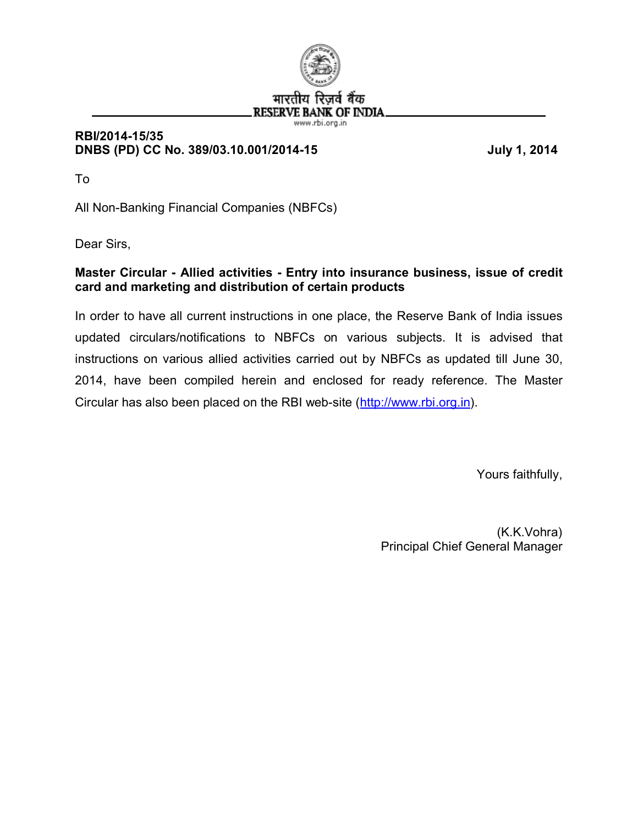

## **RBI/2014-15/35 DNBS (PD) CC No. 389/03.10.001/2014-15 July 1, 2014**

To

All Non-Banking Financial Companies (NBFCs)

Dear Sirs,

## **Master Circular - Allied activities - Entry into insurance business, issue of credit card and marketing and distribution of certain products**

In order to have all current instructions in one place, the Reserve Bank of India issues updated circulars/notifications to NBFCs on various subjects. It is advised that instructions on various allied activities carried out by NBFCs as updated till June 30, 2014, have been compiled herein and enclosed for ready reference. The Master Circular has also been placed on the RBI web-site ([http://www.rbi.org.in\)](http://www.rbi.org.in/).

Yours faithfully,

 (K.K.Vohra) Principal Chief General Manager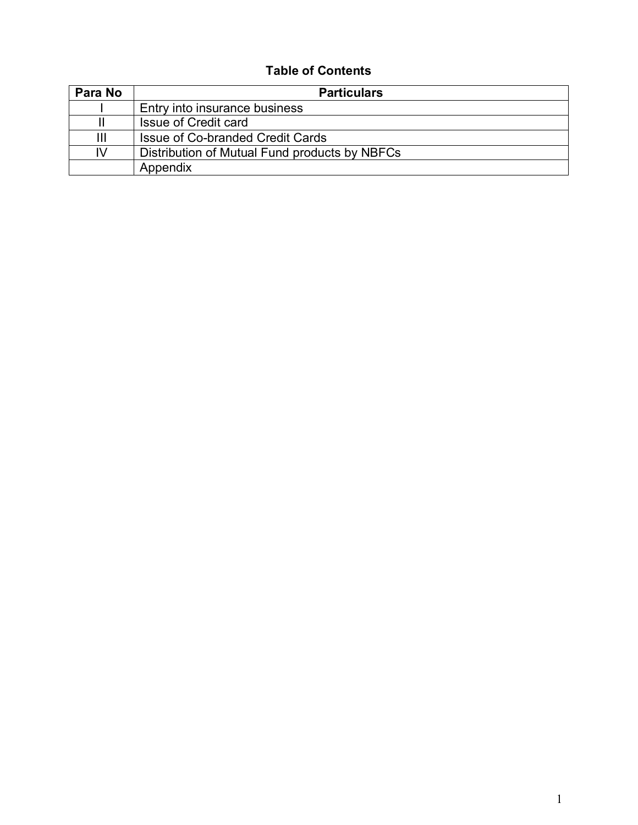# **Table of Contents**

| Para No | <b>Particulars</b>                            |
|---------|-----------------------------------------------|
|         | Entry into insurance business                 |
|         | Issue of Credit card                          |
| Ш       | Issue of Co-branded Credit Cards              |
| IV      | Distribution of Mutual Fund products by NBFCs |
|         | Appendix                                      |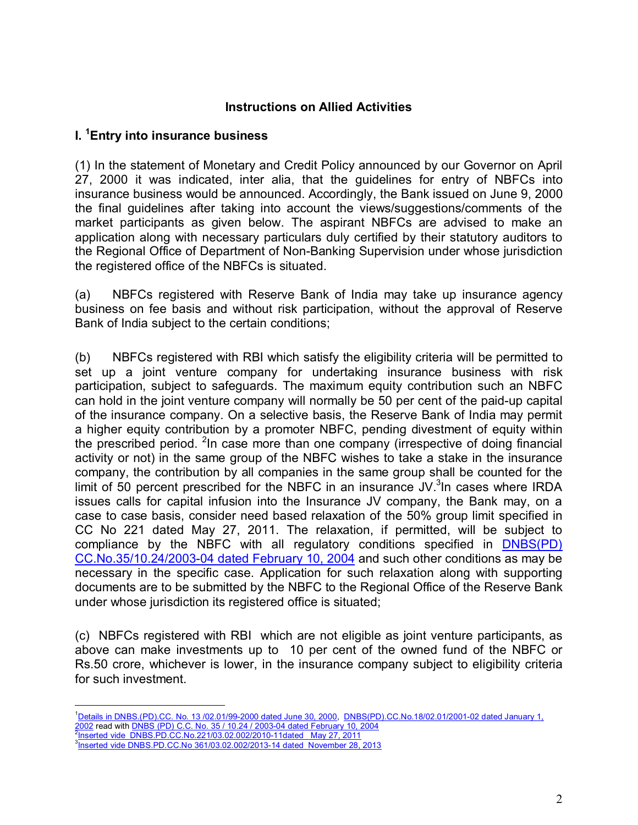#### **Instructions on Allied Activities**

### **I. <sup>1</sup>[E](#page-2-0)ntry into insurance business**

(1) In the statement of Monetary and Credit Policy announced by our Governor on April 27, 2000 it was indicated, inter alia, that the guidelines for entry of NBFCs into insurance business would be announced. Accordingly, the Bank issued on June 9, 2000 the final guidelines after taking into account the views/suggestions/comments of the market participants as given below. The aspirant NBFCs are advised to make an application along with necessary particulars duly certified by their statutory auditors to the Regional Office of Department of Non-Banking Supervision under whose jurisdiction the registered office of the NBFCs is situated.

(a) NBFCs registered with Reserve Bank of India may take up insurance agency business on fee basis and without risk participation, without the approval of Reserve Bank of India subject to the certain conditions;

(b) NBFCs registered with RBI which satisfy the eligibility criteria will be permitted to set up a joint venture company for undertaking insurance business with risk participation, subject to safeguards. The maximum equity contribution such an NBFC can hold in the joint venture company will normally be 50 per cent of the paid-up capital of the insurance company. On a selective basis, the Reserve Bank of India may permit a higher equity contribution by a promoter NBFC, pending divestment of equity within the prescribed period. <sup>2</sup>[In](#page-2-1) case more than one company (irrespective of doing financial activity or not) in the same group of the NBFC wishes to take a stake in the insurance company, the contribution by all companies in the same group shall be counted for the limit of 50 percent prescribed for the NBFC in an insurance  $JV$ <sup>3</sup>[In](#page-2-2) cases where IRDA issues calls for capital infusion into the Insurance JV company, the Bank may, on a case to case basis, consider need based relaxation of the 50% group limit specified in CC No 221 dated May 27, 2011. The relaxation, if permitted, will be subject to compliance by the NBFC with all regulatory conditions specified in **[DNBS\(PD\)](http://www.rbi.org.in/scripts/NotificationUser.aspx?Id=1481&Mode=0)** [CC.No.35/10.24/2003-04 dated February 10, 2004](http://www.rbi.org.in/scripts/NotificationUser.aspx?Id=1481&Mode=0) and such other conditions as may be necessary in the specific case. Application for such relaxation along with supporting documents are to be submitted by the NBFC to the Regional Office of the Reserve Bank under whose jurisdiction its registered office is situated;

(c) NBFCs registered with RBI which are not eligible as joint venture participants, as above can make investments up to 10 per cent of the owned fund of the NBFC or Rs.50 crore, whichever is lower, in the insurance company subject to eligibility criteria for such investment.

<span id="page-2-0"></span><sup>&</sup>lt;sup>1</sup>Details in DNBS.(PD).CC. No. 13/02.01/99-2000 dated June 30, 2000, DNBS(PD).CC.No.18/02.01/2001-02 dated January 1, <u>2002</u> read with <u>DNBS (PD) C.C. No. 35 / 10.24 / 2003-04 dated February 10, 2004</u><br><sup>2</sup>Inserted vide DNBS.PD.CC.No.221/03.02.002/2010-11dated May 27, 2011

<span id="page-2-1"></span>

<span id="page-2-2"></span><sup>3</sup> Inserted vide DNBS.PD.CC.No 361/03.02.002/2013-14 dated November 28, 2013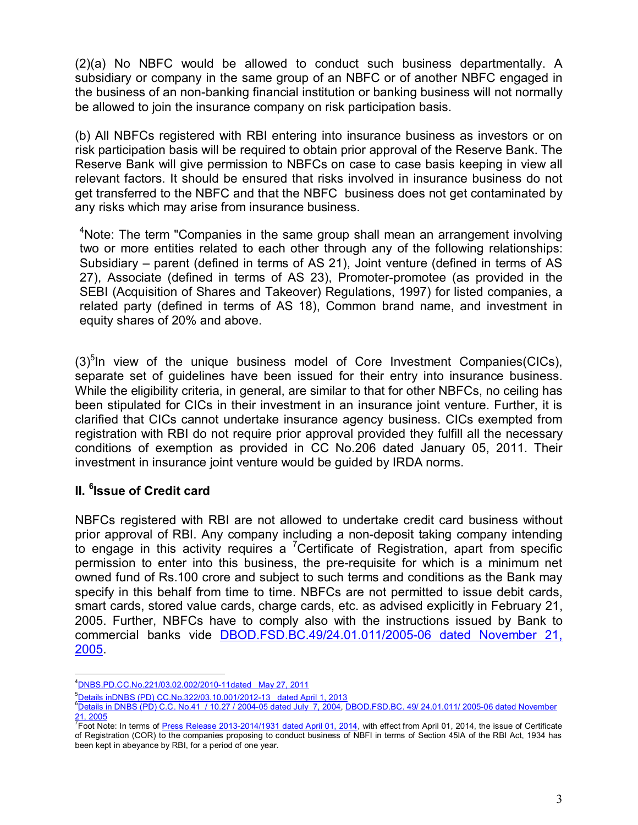(2)(a) No NBFC would be allowed to conduct such business departmentally. A subsidiary or company in the same group of an NBFC or of another NBFC engaged in the business of an non-banking financial institution or banking business will not normally be allowed to join the insurance company on risk participation basis.

(b) All NBFCs registered with RBI entering into insurance business as investors or on risk participation basis will be required to obtain prior approval of the Reserve Bank. The Reserve Bank will give permission to NBFCs on case to case basis keeping in view all relevant factors. It should be ensured that risks involved in insurance business do not get transferred to the NBFC and that the NBFC business does not get contaminated by any risks which may arise from insurance business.

<sup>4</sup>Note: The term "Companies in the same group shall mean an arrangement involving [tw](#page-3-0)o or more entities related to each other through any of the following relationships: Subsidiary – parent (defined in terms of AS 21), Joint venture (defined in terms of AS 27), Associate (defined in terms of AS 23), Promoter-promotee (as provided in the SEBI (Acquisition of Shares and Takeover) Regulations, 1997) for listed companies, a related party (defined in terms of AS 18), Common brand name, and investment in equity shares of 20% and above.

 $(3)^{5}$ [In](#page-3-1) view of the unique business model of Core Investment Companies(CICs), separate set of guidelines have been issued for their entry into insurance business. While the eligibility criteria, in general, are similar to that for other NBFCs, no ceiling has been stipulated for CICs in their investment in an insurance joint venture. Further, it is clarified that CICs cannot undertake insurance agency business. CICs exempted from registration with RBI do not require prior approval provided they fulfill all the necessary conditions of exemption as provided in CC No.206 dated January 05, 2011. Their investment in insurance joint venture would be guided by IRDA norms.

## **II. <sup>6</sup> [Is](#page-3-2)sue of Credit card**

NBFCs registered with RBI are not allowed to undertake credit card business without prior approval of RBI. Any company including a non-deposit taking company intending to engage in this activity requires a <sup>7</sup>[C](#page-3-3)ertificate of Registration, apart from specific permission to enter into this business, the pre-requisite for which is a minimum net owned fund of Rs.100 crore and subject to such terms and conditions as the Bank may specify in this behalf from time to time. NBFCs are not permitted to issue debit cards, smart cards, stored value cards, charge cards, etc. as advised explicitly in February 21, 2005. Further, NBFCs have to comply also with the instructions issued by Bank to commercial banks vide [DBOD.FSD.BC.49/24.01.011/2005-06 dated November 21,](http://www.rbi.org.in/scripts/NotificationUser.aspx?Id=2627&Mode=0) [2005.](http://www.rbi.org.in/scripts/NotificationUser.aspx?Id=2627&Mode=0)

<span id="page-3-0"></span><sup>4</sup>DNBS.PD.CC.No.221/03.02.002/2010-11dated May 27, 2011

<span id="page-3-1"></span><sup>5</sup>Details inDNBS (PD) CC.No.322/03.10.001/2012-13 dated April 1, 2013

<span id="page-3-2"></span><sup>6&</sup>lt;br><sup>6</sup>Details in DNBS (PD) C.C. No.4<u>1 / 10.27 / 2004-05 dated July 7, 2004, DBOD.FSD.BC. 49/ 24.01.011/ 2005-06 dated November</u> <u>21, 2005</u><br><sup>7</sup>Foot Note: In terms of <u>Press Release 2013-2014/1931 dated April 01, 2014</u>, with effect from April 01, 2014, the issue of Certificate

<span id="page-3-3"></span>of Registration (COR) to the companies proposing to conduct business of NBFI in terms of Section 45IA of the RBI Act, 1934 has been kept in abeyance by RBI, for a period of one year.